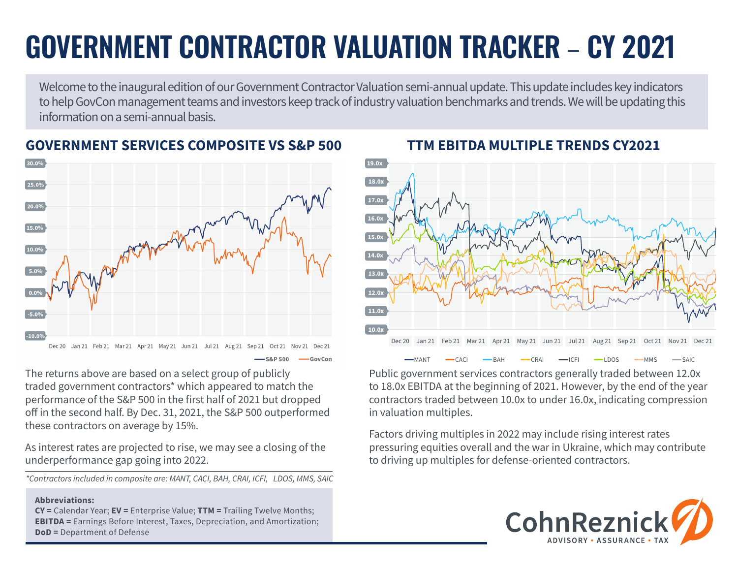# **GOVERNMENT CONTRACTOR VALUATION TRACKER** – **CY 2021**

Welcome to the inaugural edition of our Government Contractor Valuation semi-annual update. This update includes key indicators to help GovCon management teams and investors keep track of industry valuation benchmarks and trends. We will be updating this information on a semi-annual basis.



**GOVERNMENT SERVICES COMPOSITE VS S&P 500 TTM EBITDA MULTIPLE TRENDS CY2021**

-GovCon

The returns above are based on a select group of publicly traded government contractors\* which appeared to match the performance of the S&P 500 in the first half of 2021 but dropped off in the second half. By Dec. 31, 2021, the S&P 500 outperformed these contractors on average by 15%.

As interest rates are projected to rise, we may see a closing of the underperformance gap going into 2022.

*\*Contractors included in composite are: MANT, CACI, BAH, CRAI, ICFI, LDOS, MMS, SAIC*

#### **Abbreviations:**

**CY =** Calendar Year; **EV =** Enterprise Value; **TTM =** Trailing Twelve Months; **EBITDA =** Earnings Before Interest, Taxes, Depreciation, and Amortization; **DoD =** Department of Defense



Public government services contractors generally traded between 12.0x to 18.0x EBITDA at the beginning of 2021. However, by the end of the year contractors traded between 10.0x to under 16.0x, indicating compression in valuation multiples.

Factors driving multiples in 2022 may include rising interest rates pressuring equities overall and the war in Ukraine, which may contribute to driving up multiples for defense-oriented contractors.

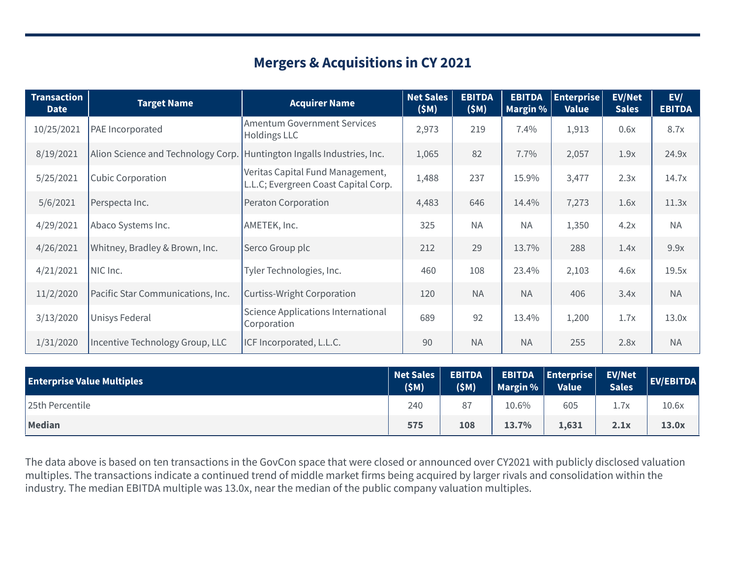## **Mergers & Acquisitions in CY 2021**

| <b>Transaction</b><br><b>Date</b> | <b>Target Name</b>                                                     | <b>Acquirer Name</b>                                                     | <b>Net Sales</b><br>(SM) | <b>EBITDA</b><br>(SM) | <b>EBITDA</b><br>Margin % | $ $ Enterprise $ $<br><b>Value</b> | <b>EV/Net</b><br><b>Sales</b> | EV/<br><b>EBITDA</b> |
|-----------------------------------|------------------------------------------------------------------------|--------------------------------------------------------------------------|--------------------------|-----------------------|---------------------------|------------------------------------|-------------------------------|----------------------|
| 10/25/2021                        | PAE Incorporated                                                       | <b>Amentum Government Services</b><br><b>Holdings LLC</b>                | 2,973                    | 219                   | 7.4%                      | 1,913                              | 0.6x                          | 8.7x                 |
| 8/19/2021                         | Alion Science and Technology Corp. Huntington Ingalls Industries, Inc. |                                                                          | 1,065                    | 82                    | 7.7%                      | 2,057                              | 1.9x                          | 24.9x                |
| 5/25/2021                         | <b>Cubic Corporation</b>                                               | Veritas Capital Fund Management,<br>L.L.C; Evergreen Coast Capital Corp. | 1,488                    | 237                   | 15.9%                     | 3,477                              | 2.3x                          | 14.7x                |
| 5/6/2021                          | Perspecta Inc.                                                         | Peraton Corporation                                                      | 4,483                    | 646                   | 14.4%                     | 7,273                              | 1.6x                          | 11.3x                |
| 4/29/2021                         | Abaco Systems Inc.                                                     | AMETEK, Inc.                                                             | 325                      | <b>NA</b>             | <b>NA</b>                 | 1,350                              | 4.2x                          | <b>NA</b>            |
| 4/26/2021                         | Whitney, Bradley & Brown, Inc.                                         | Serco Group plc                                                          | 212                      | 29                    | 13.7%                     | 288                                | 1.4x                          | 9.9x                 |
| 4/21/2021                         | NIC Inc.                                                               | Tyler Technologies, Inc.                                                 | 460                      | 108                   | 23.4%                     | 2,103                              | 4.6x                          | 19.5x                |
| 11/2/2020                         | Pacific Star Communications, Inc.                                      | <b>Curtiss-Wright Corporation</b>                                        | 120                      | <b>NA</b>             | <b>NA</b>                 | 406                                | 3.4x                          | <b>NA</b>            |
| 3/13/2020                         | Unisys Federal                                                         | Science Applications International<br>Corporation                        | 689                      | 92                    | 13.4%                     | 1,200                              | 1.7x                          | 13.0x                |
| 1/31/2020                         | Incentive Technology Group, LLC                                        | ICF Incorporated, L.L.C.                                                 | 90                       | <b>NA</b>             | <b>NA</b>                 | 255                                | 2.8x                          | <b>NA</b>            |

| Net Sales<br><b>Enterprise Value Multiples</b> |     | <b>EBITDA</b><br>(SM) | Margin $%$ | EBITDA  Enterprise  EV/Net<br><b>Value</b> | <b>Sales</b> | EV/EBITDA |
|------------------------------------------------|-----|-----------------------|------------|--------------------------------------------|--------------|-----------|
| 25th Percentile                                | 240 | 87                    | $10.6\%$   | 605                                        |              | 10.6x     |
| Median                                         | 575 | 108                   | 13.7%      | 1,631                                      | 2.1x         | 13.0x     |

The data above is based on ten transactions in the GovCon space that were closed or announced over CY2021 with publicly disclosed valuation multiples. The transactions indicate a continued trend of middle market firms being acquired by larger rivals and consolidation within the industry. The median EBITDA multiple was 13.0x, near the median of the public company valuation multiples.